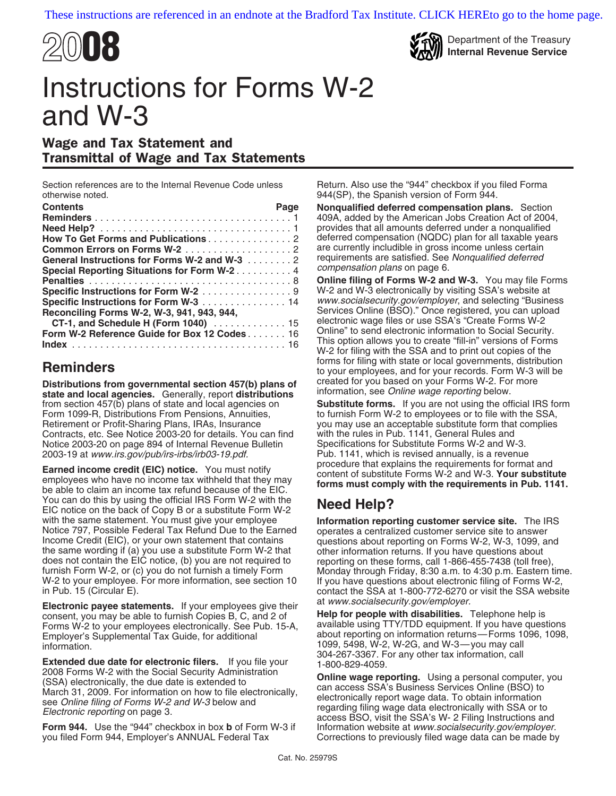



# Instructions for Forms W-2 and W-3

### Wage and Tax Statement and Transmittal of Wage and Tax Statements

Section references are to the Internal Revenue Code unless Return. Also use the "944" checkbox if you filed Forma otherwise noted. 944(SP), the Spanish version of Form 944.

| <b>Contents</b>                              | Page |
|----------------------------------------------|------|
|                                              |      |
|                                              |      |
| How To Get Forms and Publications2           |      |
|                                              |      |
| General Instructions for Forms W-2 and W-3 2 |      |
| Special Reporting Situations for Form W-2 4  |      |
|                                              |      |
| Specific Instructions for Form W-2 9         |      |
| Specific Instructions for Form W-3 14        |      |
| Reconciling Forms W-2, W-3, 941, 943, 944,   |      |
| CT-1, and Schedule H (Form 1040)  15         |      |
| Form W-2 Reference Guide for Box 12 Codes 16 |      |
|                                              |      |

**Distributions from governmental section 457(b) plans of created for you based on your Forms W-2. Forms W-2. Forms W-2. Forms with the state and local agencies. Generally report distributions information, see Online wage r** state and local agencies. Generally, report distributions from section 457(b) plans of state and local agencies on **Substitute forms.** If you are not using the official IRS form<br>Form 1099-R, Distributions From Pensions, Annuities, the official of the original to furnish Form W-2 Form 1099-R, Distributions From Pensions, Annuities, Retirement or Profit-Sharing Plans, IRAs, Insurance Contracts, etc. See Notice 2003-20 for details. You can find with the rules in Pub. 1141, General Rules and Notice 2003-20 on page 894 of Internal Revenue Bulletin Specifications for Substitute Forms W-2 and W-3.<br>COO3-19 at www.irs.gov/pub/irs-irbs/irb03-19.pdf. Pub. 1141, which is revised annually, is a revenue

Earned income credit (EIC) notice. You must notify<br>employees who have no income tax withheld that they may<br>be able to claim an income tax refund because of the EIC. **Forms must comply with the requirements in Pub. 1141.** You can do this by using the official IRS Form W-2 with the Fou can do this by using the official this Porth W-2 with the<br>EIC notice on the back of Copy B or a substitute Form W-2 with the same statement. You must give your employee **Information repor** Notice 797, Possible Federal Tax Refund Due to the Earned Income Credit (EIC), or your own statement that contains the same wording if (a) you use a substitute Form W-2 that does not contain the EIC notice, (b) you are not required to does not contain the EIC notice, (b) you are not required to reporting on these forms, call 1-866-455-7438 (toll free), furnish Form W-2, or (c) you do not furnish a timely Form Monday through Friday, 8:30 a.m. to 4:30 p.m W-2 to your employee. For more information, see section 10 in Pub. 15 (Circular E).

Electronic payee statements. If your employees give their at www.socialsecurity.gov/employer.<br>consent, you may be able to furnish Copies B. C. and 2 of **Help for people with disabilities.** Telephone help is consent, you may be able to furnish Copies B, C, and 2 of **Help for people with disabilities.** Telephone help is Forms W-2 to your employees electronically. See Pub. 15-A, Employer's Supplemental Tax Guide, for additional about reporting on information returns—Forms 1096, 1098,

**Extended due date for electronic filers.** If you file your 1-800-829-4059.<br>2008 Forms W-2 with the Social Security Administration **Contine was any** 2008 Forms W-2 with the Social Security Administration<br>
(SSA) electronically, the due date is extended to<br>
March 31, 2009. For information on how to file electronically,<br>
see *Online filing of Forms W-2 and W-3* below and<br>

**Form 944.** Use the "944" checkbox in box **b** of Form W-3 if Information website at *www.socialsecurity.gov/employer.* you filed Form 944, Employer's ANNUAL Federal Tax Corrections to previously filed wage data can be made

**Nonqualified deferred compensation plans.** Section 409A, added by the American Jobs Creation Act of 2004, provides that all amounts deferred under a nonqualified deferred compensation (NQDC) plan for all taxable years are currently includible in gross income unless certain requirements are satisfied. See Nonqualified deferred *compensation plans* on page 6.

**Penalties** ....................................8 **Online filing of Forms W-2 and W-3.** You may file Forms W-2 and W-3 electronically by visiting SSA's website at www.socialsecurity.gov/employer, and selecting "Business" Services Online (BSO)." Once registered, you can upload electronic wage files or use SSA's "Create Forms W-2<br>Online" to send electronic information to Social Security. This option allows you to create "fill-in" versions of Forms<br>W-2 for filing with the SSA and to print out copies of the<br>forms for filing with state or local governments, distribution **forms** for filling with state or local governments, distribution to your employees, and for your records. Form W-3 will be **Distributions from governmental section 457(b)** plans of created for you based on your Forms W-2.

you may use an acceptable substitute form that complies with the rules in Pub. 1141, General Rules and 2003-19 at www.irs.gov/pub/irs-irbs/irb03-19.pdf.<br>
Pub. 1141, which is revised annually, is a revenue<br>
procedure that explains the requirements for format and

**Information reporting customer service site.** The IRS operates a centralized customer service site to answer questions about reporting on Forms W-2, W-3, 1099, and other information returns. If you have questions about Monday through Friday, 8:30 a.m. to 4:30 p.m. Eastern time.<br>If you have questions about electronic filing of Forms W-2, contact the SSA at 1-800-772-6270 or visit the SSA website

information. The contract of the contract of the contract of the contract of the contract of the contract of th<br>1099, 5498, W-2, W-2G, and W-3—you may call information, call 304-267-3367. For any other tax information, cal

Corrections to previously filed wage data can be made by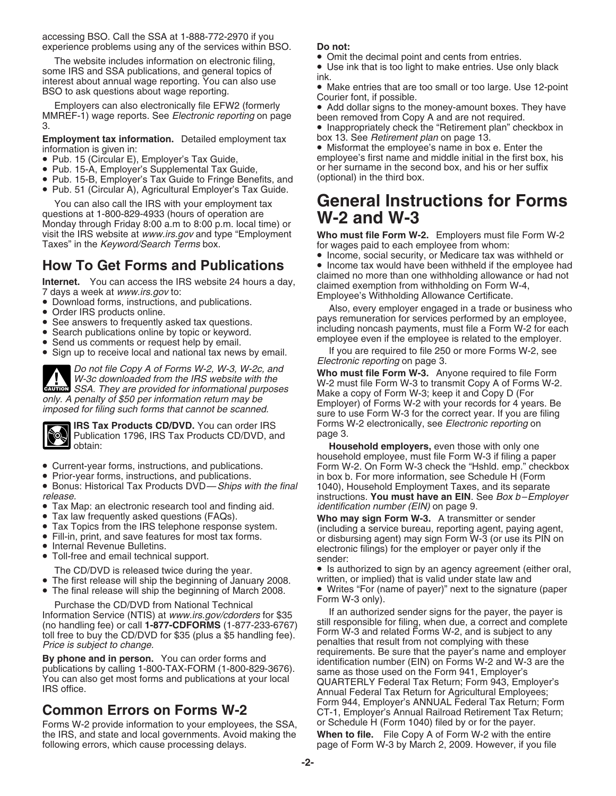accessing BSO. Call the SSA at 1-888-772-2970 if you experience problems using any of the services within BSO. **Do not:**

The website includes information on electronic filing,<br>
some IRS and SSA publications, and general topics of<br>
interest about annual wage reporting. You can also use<br>
BSO to ask questions about wage reporting.<br>
Employers ca

## **Employment tax information.** Detailed employment tax box 13. See *Retirement plan* on page 13.

- 
- 
- Pub. 15-B, Employer's Tax Guide to Fringe Benefits, and
- Pub. 51 (Circular A), Agricultural Employer's Tax Guide.

questions at 1-800-829-4933 (hours of operation are questions at 1-800-829-4933 (hours of operation are **W-2 and W-3**<br>Monday through Friday 8:00 a.m to 8:00 p.m. local time) or **W-2 and W-3** visit the IRS website at www.irs.gov and type "Employment **Who must file Form W-2.** Employers must file Form W-2 Taxes" in the *Keyword/Search Terms* box. for wages paid to each employee from whom:

- 
- 
- 
- 
- 
- 

Do not file Copy A of Forms W-2, W-3, W-2c, and<br>W-3c downloaded from the IRS website with the<br>SSA. They are provided for informational purposes<br>Wake a copy of Form W-3: keep it and Copy D (Form W-2.



Publication 1796, IRS Tax Products CD/DVD, and obtain:

- 
- 
- Bonus: Historical Tax Products DVD—*Ships with the final* 1040), Household Employment Taxes, and its separate instructions. **You must have an EIN**. See Box b-Emple
- Tax Map: an electronic research tool and finding aid.<br>• Tax law frequently asked questions (FAQs).
- 
- 
- 
- 
- -
- 
- The first release will ship the beginning of January 2008.<br>• The final release will ship the beginning of March 2008.

Forms W-2 provide information to your employees, the SSA, or Schedule H (Form 1040) filed by or for the payer.<br>the IRS, and state and local governments. Avoid making the **When to file.** File Copy A of Form W-2 with the ent the IRS, and state and local governments. Avoid making the following errors, which cause processing delays.

- 
- 
- 
- 
- 

information is given in:<br>
• Misformat the employee's name in box e. Enter the<br>
• Pub. 15 (Circular E), Employer's Tax Guide,<br>
• Pub. 15 (Circular E), Employer's Tax Guide,<br>
• • Pub. 15 (Circular E), Employer's Tax Guide, employee's first name and middle initial in the first box, his<br>• Pub. 15-A, Employer's Supplemental Tax Guide, entity or her surname in the second box, and his or her suffix or her surname in the second box, and his or her suffix (optional) in the third box.

# You can also call the IRS with your employment tax **General Instructions for Forms**

• Income, social security, or Medicare tax was withheld or<br>• Income tax would have been withheld if the employee had **How To Get Forms and Publications** • Income tax would have been withheld if the employee had not

**Internet.** You can access the IRS website 24 hours a day,<br>
The damed no more than one withholding allowance or had not<br>
The damed exemption from withholding on Form W-4,<br>
■ Download forms, instructions, and publications.

• Send us comments or request help by email.<br>• Sign up to receive local and national tax news by email. If you are required to file 250 or more Forms W-2, see<br>Electronic reporting on page 3.

exalest SSA. They are provided for informational purposes<br>only. A penalty of \$50 per information return may be<br>imposed for filing such forms that cannot be scanned.<br>sure to use Form W-3 for the correct year. If you are fil **IRS Tax Products CD/DVD.** You can order IRS Forms W-2 electronically, see *Electronic reporting* on<br>Publication 1796, IRS Tax Products CD/DVD, and page 3.

Household employers, even those with only one household employee, must file Form W-3 if filing a paper • Current-year forms, instructions, and publications. Form W-2. On Form W-3 check the "Hshld. emp." checkbox • Prior-year forms, instructions, and publications. in box b. For more information, see Schedule H (Form • Bonus: Historical Tax Products DVD— Ships with the final (1040), Household Employment Taxes, and its separate instructions. **You must have an EIN**. See Box b-Employer identification number (EIN) on page 9.

• Tax law frequently asked questions (FAQs).<br>
• Tax Topics from the IRS telephone response system.<br>
• Fill-in, print, and save features for most tax forms.<br>
• Internal Revenue Bulletins.<br>
• Toll-free and email technical su

The CD/DVD is released twice during the year.  $\bullet$  Is authorized to sign by an agency agreement (either oral,<br>The first release will ship the beginning of January 2008. Written, or implied) that is valid under state law an • Writes "For (name of payer)" next to the signature (paper<br>Form W-3 only).

Purchase the CD/DVD from National Technical<br>
Information Service (NTIS) at *www.irs.gov/cdorders* for \$35<br>
(no handling fee) or call **1-877-CDFORMS** (1-877-233-6767)<br>
till responsible for filing, when due, a correct and co Form 944, Employer's ANNUAL Federal Tax Return; Form<br>CT-1, Employer's Annual Railroad Retirement Tax Return;<br>Forms W-2 provide information to your employees, the SSA, or Schedule H (Form 1040) filed by or for the payer. page of Form W-3 by March 2, 2009. However, if you file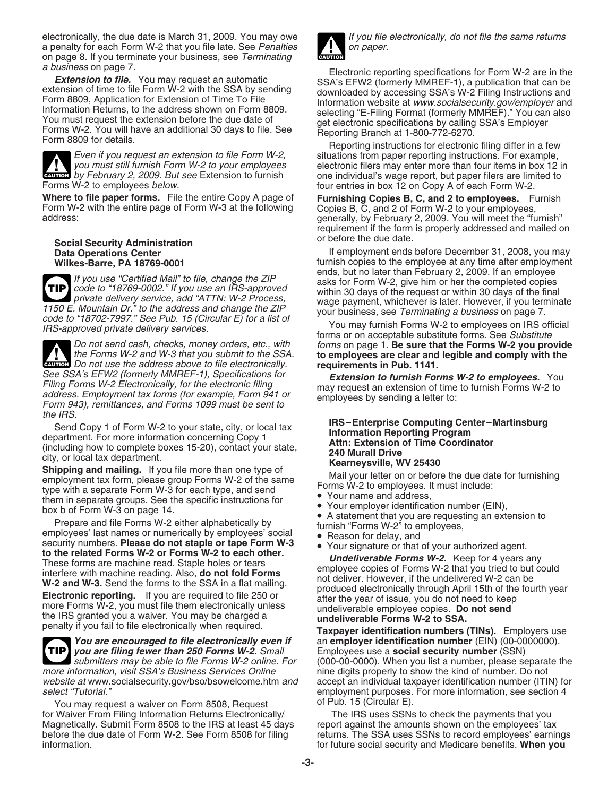electronically, the due date is March 31, 2009. You may owe If you file electronically, do not file the same returns a penalty for each Form W-2 that you file late. See Penalties  $\blacksquare$  on paper. on page 8. If you terminate your business, see Terminating



**EAUTION** by February 2, 2009. But see Extension to furnish

**Where to file paper forms.** File the entire Copy A page of **Furnishing Copies B, C, and 2 to employees.** Furnish Form W-2 with the entire page of Form W-3 at the following Copies B, C, and 2 of Form W-2 to your employees, Form W-2 with the entire page of Form W-3 at the following address:

**Social Security Administration Data Operations Center** 

**TIP** 1150 E. Mountain Dr." to the address and change the ZIP<br>
code to "18702-7997." See Pub. 15 (Circular E) for a list of<br>
IRS-approved private delivery services.<br>
Do not send cash, checks, money orders, etc., with<br>
The sure t

the Forms W-2 and W-3 that you submit to the SSA. **to employees are clear and**<br>
Do not use the address above to file electronically. **requirements in Pub. 1141.** See SSA's EFW2 (formerly MMREF-1), Specifications for<br>Filing Forms W-2 Electronically, for the electronic filing<br>address. Employment tax forms (for example, Form 941 or may request an extension of time to furnish Forms W-2 the IRS.

*you are filing fewer than 250 Forms W-2.* Small Employees use a **social security number** (SSN) **TIP** more information, visit SSA's Business Services Online nine digits properly to show the kind of number. Do not

website at www.socialsecurity.gov/bso/bsowelcome.htm and accept an individual taxpayer identification number (ITIN) for select "Tutorial." employment purposes. For more information, see section 4

You may request a waiver on Form 8508, Request **of Pub. 15 (Circular E).**<br>Waiver From Filing Information Returns Electronically/ The IRS uses SSNs to check the payments that you for Waiver From Filing Information Returns Electronically/ Magnetically. Submit Form 8508 to the IRS at least 45 days report against the amounts shown on the employees' tax<br>before the due date of Form W-2. See Form 8508 for filing returns. The SSA uses SSNs to record employees' ea information. for future social security and Medicare benefits. **When you**



a business on page 7.<br> **Extension to file.** You may request an automatic<br>
extension of time to file Form W-2 with the SSA by sending<br>
Form 8809, Application for Extension of Time To File<br>
Information website at www.socials

Even if you request an extension to file Form W-2, situations from paper reporting instructions. For example, <br>you must still furnish Form W-2 to your employees electronic filers may enter more than four items in box 12 electronic filers may enter more than four items in box 12 in **CAUTION** by February 2, 2009. But see Extension to furnish one individual's wage report, but paper filers are limited to Form W-2.<br>Forms W-2 to employees *below.* four entries in box 12 on Copy A of each Form W-2.

> generally, by February 2, 2009. You will meet the "furnish" requirement if the form is properly addressed and mailed on or before the due date.

**Data Operations Center If employment ends before December 31, 2008, you may**<br>**Wilkes-Barre, PA 18769-0001 If end and the employee at any time after employment** furnish copies to the employee at any time after employment ends, but no later than February 2, 2009. If an employee If you use "Certified Mail" to file, change the ZIP<br>
code to "18769-0002." If you use an IRS-approved<br>
private delivery service, add "ATTN: W-2 Process,<br>
wage payment, whichever is later. However, if you terminate

Do not send cash, checks, money orders, etc., with forms on page 1. **Be sure that the Forms W-2 you provide**<br>the Forms W-2 and W-3 that you submit to the SSA. **to employees are clear and legible and comply with the** to employees are clear and legible and comply with the

- 
- 

- 
- 

Send Copy 1 of Form W-2 to your state, city, or local tax<br>
information Reporting Program<br>
(including how to complete boxes 15-20), contact your state,<br>
(including how to complete boxes 15-20), contact your state,<br>
city, or

*You are encouraged to file electronically even if* an **employer identification number** (EIN) (00-0000000). submitters may be able to file Forms W-2 online. For (000-00-0000). When you list a number, please separate the

returns. The SSA uses SSNs to record employees' earnings.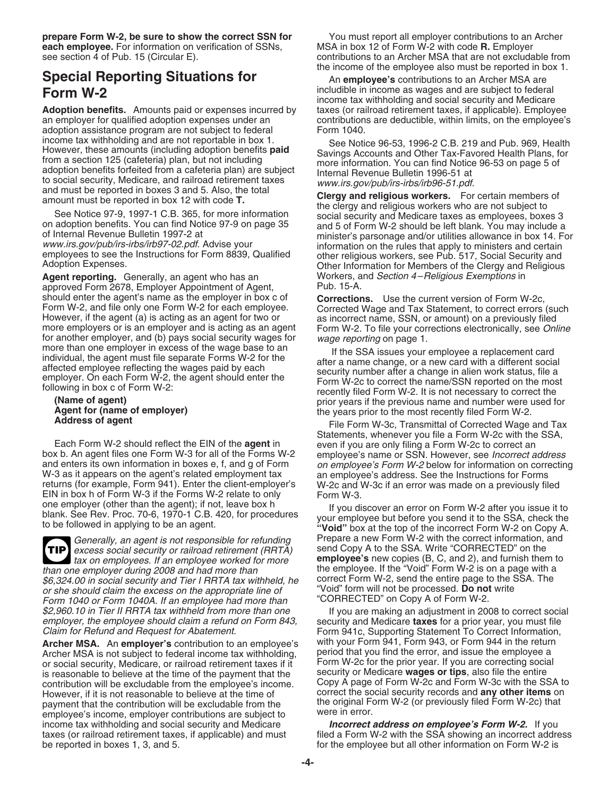**prepare Form W-2, be sure to show the correct SSN for** You must report all employer contributions to an Archer **each employee.** For information on verification of SSNs, MSA in box 12 of Form W-2 with code **R.** Employer

# **Special Reporting Situations for** An employee's contributions to an Archer MSA are

**Adoption benefits.** Amounts paid or expenses incurred by taxes (or railroad retirement taxes, if applicable). Employee san employee is an employee san employee is an employee sexual field adoption expenses under an expent adoption assistance program are not subject to federal Form 1040.<br>income tax withholding and are not reportable in box 1.

**Agent reporting.** Generally, an agent who has an **Workers, and Section 4–Religious Exemptions in** approved Form 2678. Employer Appointment of Agent. Pub. 15-A. approved Form 2678, Employer Appointment of Agent, should enter the agent's name as the employer in box c of should enter the agent's name as the employer in box c of **Corrections.** Use the current version of Form W-2c,<br>Form W-2, and file only one Form W-2 for each employee. Corrected Wage and Tax Statement, to correct errors ( Form W-2, and file only one Form W-2 for each employee. Corrected Wage and Tax Statement, to correct errors (such However, if the agent (a) is acting as an agent for two or as incorrect name, SSN, or amount) on a previousl

Each Form W-2 should reflect the EIN of the **agent** in even if you are only filing a Form W-2c to correct an box b. An agent files one Form W-3 for all of the Forms W-2 employee's name or SSN. However, see *Incorrect a* box b. An agent files one Form W-3 for all of the Forms W-2 employee's name or SSN. However, see *Incorrect address*<br>and enters its own information in boxes e, f, and g of Form on employee's Form W-2 below for information and enters its own information in boxes e, f, and g of Form on employee's Form W-2 below for information on correcting<br>W-3 as it appears on the agent's related employment tax an employee's address. See the Instructions for W-3 as it appears on the agent's related employment tax an employee's address. See the Instructions for Forms<br>
returns (for example, Form 941). Enter the client-employer's W-2c and W-3c if an error was made on a previously EIN in box h of Form W-3 if the Forms W-2 relate to only Form W-3.<br>one employer (other than the agent); if not, leave box h

**TIP** excess social security or railroad retirement (RRTA) send Copy A to the SSA. Write "CORRECTED" on the \$6,324.00 in social security and Tier I RRTA tax withheld, he correct Form W-2, send the entire page to the S<br>or she should claim the excess on the appropriate line of same "Void" form will not be processed. **Do not** write or she should claim the excess on the appropriate line of "Void" form will not be processed. **Do not** write Form 1040 or Form 1040A. If an employee had more than

Archer MSA is not subject to federal income tax withholding, period that you find the error, and issue the employee a<br>or social security, Medicare, or railroad retirement taxes if it Form W-2c for the prior year. If you ar or social security, Medicare, or railroad retirement taxes if it Form W-2c for the prior year. If you are correcting social is reasonable to believe at the time of the payment that the security or Medicare wages or tips, a is reasonable to believe at the time of the payment that the security or Medicare **wages or tips**, also file the entire contribution will be excludable from the employee's income. However, if it is not reasonable to believe at the time of correct the social security records and **any other items** on payment that the contribution will be excludable from the the original Form M-2 (or previously filed Form W-20<br>A were in error. employee's income, employer contributions are subject to were in error.<br>income tax withholding and social security and Medicare **Incorrect address on employee's Form W-2.** If you income tax withholding and social security and Medicare taxes (or railroad retirement taxes, if applicable) and must be reported in boxes 1, 3, and 5. **For all other information on Form W-2** is

see section 4 of Pub. 15 (Circular E). contributions to an Archer MSA that are not excludable from the income of the employee also must be reported in box 1.

includible in income as wages and are subject to federal<br>income tax withholding and social security and Medicare<br>**Adoption benefits.** Amounts paid or expenses incurred by taxes (or railroad retirement taxes, if applicable) contributions are deductible, within limits, on the employee's

income tax withholding and are not reportable in box 1.<br>
However, these amounts (including adoption benefits for a section 125 (cafeteria) plan, but not including<br>
throw a section 125 (cafeteria) plan, but not including<br>
a

For another employer, and (b) pays social security wages for<br>
in ore than one employer in excess of the wage base to an<br>
individual, the agent must file separate Forms W-2 for the<br>
affected employee reflecting the wages pa

Statements, whenever you file a Form W-2c with the SSA, W-2c and W-3c if an error was made on a previously filed

one employer (other than the agent); it not, leave box he are lift you discover an error on Form W-2 after you issue it to<br>blank. See Rev. Proc. 70-6, 1970-1 C.B. 420, for procedures your employee but before you send it to Generally, an agent is not responsible for refunding Prepare a new Form W-2 with the correct information, and<br>excess social security or railroad retirement (BBTA) send Copy A to the SSA. Write "CORRECTED" on the tax on employees. If an employee worked for more **employee's** new copies (B, C, and 2), and furnish them to then to the employee. If the "Void" Form W-2 is on a page with a the employee. If the "Void" Form W-2 is on a page with a correct Form W-2, send the entire page to the SSA. The

\$2,960.10 in Tier II RRTA tax withheld from more than one If you are making an adjustment in 2008 to correct social<br>employer, the employee should claim a refund on Form 843, security and Medicare **taxes** for a prior year, employer, the employee should claim a refund on Form 843, security and Medicare **taxes** for a prior year, you must file Form 941c, Supporting Statement To Correct Information, **Archer MSA.** An **employer's** contribution to an employee's with your Form 941, Form 943, or Form 944 in the return

filed a Form W-2 with the SSA showing an incorrect address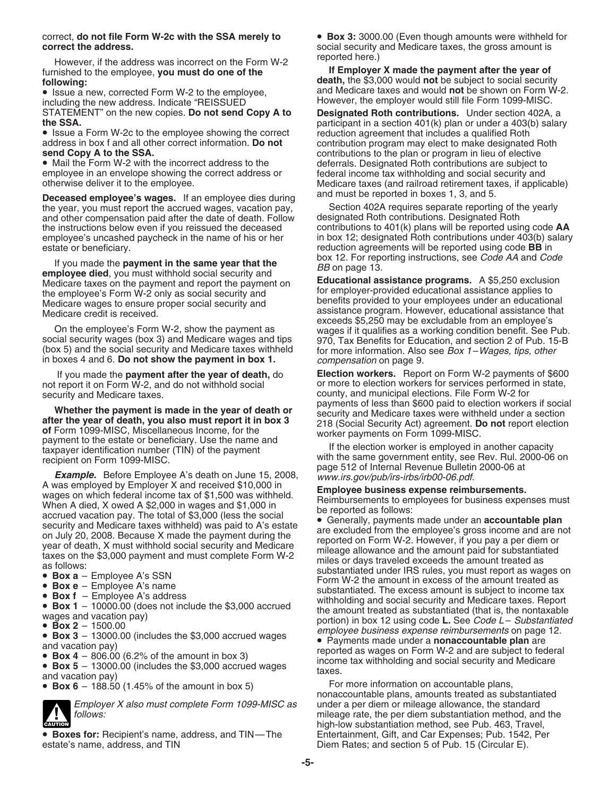**correct the address.** Social security and Medicare taxes, the gross amount is correct the address.

However, if the address was incorrect on the Form W-2 **If Employer X made the payment after the year of**<br>furnished to the employee, **you must do one of the**<br>**If Employer X made the payment after the year of**<br>**death**, the \$

including the new address. Indicate "REISSUED<sup>"</sup> However, the employer would still file Form 1099-MISC. STATEMENT" on the new copies. **Do not send Copy A to Designated Roth contributions.** Under section 402A, a

address in box f and all other correct information. **Do not** contribution program may elect to make designated Roth **send Copy A to the SSA.** contributions to the plan or program in lieu of elective

• Mail the Form W-2 with the incorrect address to the deferrals. Designated Roth contributions are subject to employee in an envelope showing the correct address or federal income tax withholding and social security and<br>otherwise deliver it to the employee. If applice the state of the discussed and railroad retirement taxes, if ap

**Deceased employee's wages.** If an employee dies during and finitious be reported in boxes 1, 3, and 5.<br>the year, you must report the accrued wages, yacation pay, Section 402A requires separate reporting of the yearly the year, you must report the accrued wages, vacation pay, Section 402A requires separate reporting of the yearly and other compensation paid after the date of death. Follow designated Roth contributions. Designated Roth and other compensation paid after the date of death. Follow designated Roth contributions. Designated Roth the instructions below even if you reissued the deceased contributions to 401(k) plans will be reported using code the instructions below even if you reissued the deceased

If you made the **payment in the same year that the EXALCONE amployee died**, you must withhold social security and **EXALCONE IF SEE A** and Medicare taxes on the payment and report the payment on the employee's Form W-2 only as social security and Medicare wages to ensure proper social security and benefits provided to your employees under an educational Medicare redit is received.<br>Medicare credit is received.

(box 5) and the social security and Medicare taxes withheld for more information. Also see Box 1–Wages, tips, other in boxes 4 and 6. **Do not show the payment in box 1.** compensation on page 9.

- 
- 
- 

**!**

Employer X also must complete Form 1099-MISC as under a per diem or mileage allowance, the standard follows:<br>mileage rate, the per diem substantiation method, and

• **Boxes for:** Recipient's name, address, and TIN—The estate's name, address, and TIN

correct, **do not file Form W-2c with the SSA merely to** • **Box 3:** 3000.00 (Even though amounts were withheld for

**following:**<br> **each,** the \$3,000 would **not** be subject to social security<br> **•** Issue a new, corrected Form W-2 to the employee, and Medicare taxes and would **not** be shown on Form W-2.

**the SSA.**<br>• Issue a Form W-2c to the employee showing the correct reduction agreement that includes a qualified Roth **•** Issue a Form W-2c to the employee showing the correct reduction agreement that includes a qualified Medicare taxes (and railroad retirement taxes, if applicable) and must be reported in boxes 1, 3, and 5.

employee's uncashed paycheck in the name of his or her in box 12; designated Roth contributions under 403(b) salary estate or beneficiary.<br>reduction agreements will be reported using code **BB** in<br>box 12. For reporting instructions, see *Code AA* and *Code* 

**Educational assistance programs.** A \$5,250 exclusion for employer-provided educational assistance applies to assistance program. However, educational assistance that exceeds \$5,250 may be excludable from an employee's On the employee's Form W-2, show the payment as<br>social security wages (box 3) and Medicare wages and tips<br>(box 5) and the social security and Medicare taxes withheld<br>(box 5) and the social security and Medicare taxes withh

 If you made the **payment after the year of death,** do **Election workers.** Report on Form W-2 payments of \$600 not report it on Form W-2, and do not withhold social or more to election workers for services performed in state, security and Medicare taxes.<br>payments of less than \$600 paid to election workers if social<br>Missiles a secure of the secure of death are payments of less than \$600 paid to election workers if social

**Whether the payment is made in the year of death or**<br> **Examplements** of less than \$600 paid to election workers if social<br>
and Medicare taxes were withheld under a section<br>
of Form 1099-MISC, Miscellaneous Income, for th

• **Box 6** – 188.50 (1.45% of the amount in box 5) For more information on accountable plans, nonaccountable plans, amounts treated as substantiated mileage rate, the per diem substantiation method, and the high-low substantiation method, see Pub. 463, Travel, Entertainment, Gift, and Car Expenses; Pub. 1542, Per Diem Rates; and section 5 of Pub. 15 (Circular E).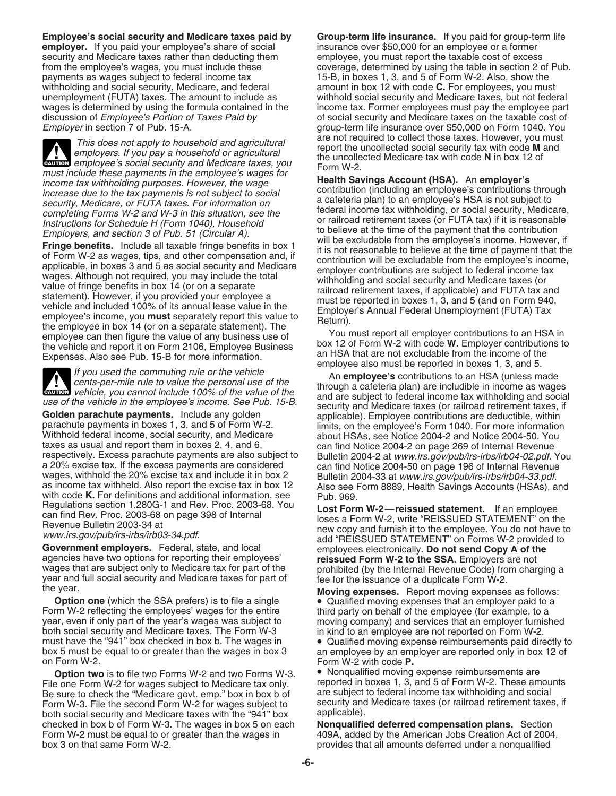**employer.** If you paid your employee's share of social insurance over \$50,000 for an employee or a former security and Medicare taxes rather than deducting them employee, you must report the taxable cost of excess withholding and social security, Medicare, and federal

This does not apply to household and agricultural<br>
employers. If you pay a household or agricultural<br>
employee's social security and Medicare taxes, you<br>
the uncollected Medicare tax with code N in box 12 of<br>
must include **EAUTION** employee's social security and Medicare taxes, you

**!**

respectively. Excess parachute payments are also subject to<br>a 20% excise tax. If the excess payments are considered<br>wages, withhold the 20% excise tax and include it in box 2<br>as income tax withheld. Also report the excise

**Option one** (which the SSA prefers) is to file a single **•** Qualified moving expenses that an employer paid to a Form W-2 reflecting the employees' wages for the entire **blue that the employee of the employee** (for exampl Form W-2 reflecting the employees' wages for the entire third party on behalf of the employee (for example, to a<br>year, even if only part of the year's wages was subject to moving company) and services that an employer furn both social security and Medicare taxes. The Form W-3 in kind to an employee are not reported on Form W-2.<br>
must have the "941" box checked in box b. The wages in  $\bullet$  Qualified moving expense reimbursements paid dire

**Option two** is to file two Forms W-2 and two Forms W-3. • Nonqualified moving expense reimbursements are<br>File one Form W-2 for wages subject to Medicare tax only. • reported in boxes 1, 3, and 5 of Form W-2. These am Be sure to check the "Medicare govt. emp." box in box b of Form W-3. File the second Form W-2 for wages subject to security and Medicare taxes (or railroad retirement taxes, if<br>both social security and Medicare taxes with the "941" box applicable). both social security and Medicare taxes with the "941" box applicable).<br>checked in box b of Form W-3. The wages in box 5 on each **Nonqualified deferred compensation plans.** Section checked in box b of Form W-3. The wages in box 5 on each Form W-2 must be equal to or greater than the wages in 409A, added by the American Jobs Creation Act of 2004, box 3 on that same Form W-2. provides that all amounts deferred under a nonqualified

**Employee's social security and Medicare taxes paid by Group-term life insurance.** If you paid for group-term life from the employee's wages, you must include these coverage, determined by using the table in section 2 of Pub.<br>payments as wages subject to federal income tax 15-B, in boxes 1, 3, and 5 of Form W-2. Also, show the 15-B, in boxes 1, 3, and 5 of Form W-2. Also, show the amount in box 12 with code **C**. For employees, you must unemployment (FUTA) taxes. The amount to include as withhold social security and Medicare taxes, but not federal wages is determined by using the formula contained in the income tax. Former employees must pay the employee part<br>discussion of Employee's Portion of Taxes Paid by discussion of social security and Medicare taxes on the ta discussion of *Employee's Portion of Taxes Paid by* of social security and Medicare taxes on the taxable cost of <br> *Employer* in section 7 of Pub. 15-A. *If* the state of the state of the insurance over \$50,000 on Form 104 group-term life insurance over \$50,000 on Form 1040. You are not required to collect those taxes. However, you must

**Example the sect and section and the employeer sources sources sources sources and the employeer's throw the value of the set with of incomes that with of the set with of the section of the section of the section of the** 

the vehicle and report it on Form 2106, Employee Business box 12 or Form W-2 with code w. Employer contribution<br>Expenses. Also see Pub. 15-B for more information.<br>
employee also must be reported in boxes 1, 3, and 5.

If you used the commuting rule or the vehicle<br>cents-per-mile rule to value the personal use of the<br>vehicle, you cannot include 100% of the value of the<br>the vehicle in income as wages<br>the vehicle in income as wages<br>the vehi Gallen parachute payments. Include 100% of the value of the vehicle in the employee's income. See Pub. 15-B.<br>
Golden parachute payments. Include any golden<br>
parachute payments in boxes 1, 3, and 5 of Form W-2.<br>
Withhold fe

Regulations section 1.280G-1 and Rev. Proc. 2003-68. You<br>
can find Rev. Proc. 2003-68 on page 398 of Internal<br>
Revenue Bulletin 2003-84 at<br>
Www.irs.gov/pub/irs-irbs/irb03-34.pdf.<br>
www.irs.gov/pub/irs-irbs/irb03-34.pdf.<br>
ad

year, even if only part of the year's wages was subject to moving company) and services that an employer furnished<br>both social security and Medicare taxes. The Form W-3 high hand to an employee are not reported on Form W-2 must have the "941" box checked in box b. The wages in  $\bullet$  Qualified moving expense reimbursements paid directly to box 5 must be equal to or greater than the wages in box 3 an employee by an employer are reported only in box 5 must be equal to or greater than the wages in box 3 an employee by an employer are reported only in box 12 of on Form W-2 with code **P**. Form W-2 with code P.

reported in boxes 1, 3, and 5 of Form W-2. These amounts are subject to federal income tax withholding and social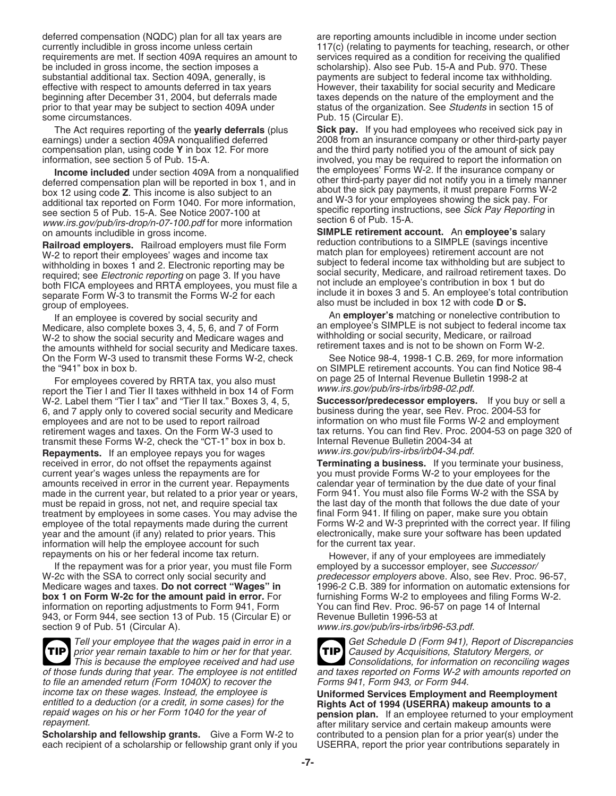deferred compensation (NQDC) plan for all tax years are are reporting amounts includible in income under section currently includible in gross income unless certain 117(c) (relating to payments for teaching, research, or other requirements are met. If section 409A requires an amount to services required as a condition for receiving the qualified<br>be included in gross income, the section imposes a scholarship). Also see Pub. 15-A and Pub. 970. The be included in gross income, the section imposes a scholarship). Also see Pub. 15-A and Pub. 970. These substantial additional tax. Section 409A, generally, is payments are subject to federal income tax withholding substantial additional tax. Section 409A, generally, is payments are subject to federal income tax withholding.<br>
effective with respect to amounts deferred in tax years However, their taxability for social security and Med beginning after December 31, 2004, but deferrals made taxes depends on the nature of the employment and the prior to that year may be subject to section 409A under status of the organization. See Students in section 15 of some circumstances. The example of the extended puber of the Pub. 15 (Circular E).

compensation plan, using code **Y** in box 12. For more and the third party notified you of the amount of sick pay

see section 5 of Pub. 15-A. See Notice 2007-100 at specific reporting instruent www.irs.gov/pub/irs-drop/n-07-100.pdf for more information section 6 of Pub. 15-A.

**Railroad employers.** Railroad employers must file Form reduction contributions to a SIMPLE (savings incentive<br>W-2 to report their employees' wages and income tax match plan for employees) retirement account are not W-2 to report their employees' wages and income tax match plan for employees) retirement account are not<br>withholding in hoxes 1 and 2. Electronic reporting may be subject to federal income tax withholding but are subject t withholding in boxes 1 and 2. Electronic reporting may be subject to federal income tax withholding but are subject to required; see *Electronic reporting* on page 3. If you have social security, Medicare, and railroad ret both FICA employees and RRTA employees, you must file a not include an employee's contribution in box 1 but do<br>separate Form W-3 to transmit the Forms W-2 for each include it in boxes 3 and 5. An employee's total contribut

Medicare, also complete boxes 3, 4, 5, 6, and 7 of Form an employee's SIMPLE is not subject to federal income tax<br>W-2 to show the social security and Medicare wages and withholding or social security, Medicare, or railroad W-2 to show the social security and Medicare wages and withholding or social security, Medicare, or railroad<br>the amounts withheld for social security and Medicare taxes retirement taxes and is not to be shown on Form W-2 the amounts withheld for social security and Medicare taxes.<br>On the Form W-3 used to transmit these Forms W-2, check<br>See Notice 98-4, 1998-1 C.B. 269, for more information On the Form W-3 used to transmit these Forms W-2, check the "941" box in box b. on SIMPLE retirement accounts. You can find Notice 98-4

For employees covered by RRTA tax, you also must on page 25 of Internal Revenue Bulletin 1998-2 at<br>Nort the Tier Land Tier II taxes withheld in hox 14 of Form www.irs.gov/pub/irs-irbs/irb98-02.pdf. report the Tier I and Tier II taxes withheld in box 14 of Form www.irs.gov/pub/irs-irbs/irb98-02.pdf.<br>W-2. Label them "Tier I tax" and "Tier II tax." Boxes 3, 4, 5, **Successor/predecessor employers.** If you buy or sell a W-2. Label them "Tier I tax" and "Tier II tax." Boxes 3, 4, 5, **Successor/predecessor employers.** If you buy or  $6$ , and 7 apply only to covered social security and Medicare business during the year, see Rev. Proc. 2004-53 6, and 7 apply only to covered social security and Medicare employees and are not to be used to report railroad information on who must file Forms W-2 and employment transmit these Forms W-2, check the "CT-1" box in box b.

**Repayments.** If an employee repays you for wages www.irs.gov/pub/irs-irbs/irb04-34.pdf. received in error, do not offset the repayments against **Terminating a business.** If you terminate your business, current year's wages unless the repayments are for you must provide Forms W-2 to your employees for the amounts received in error in the current year. Repayments calendar year of termination by the due date of your final amounts received in error in the current year. Repayments made in the current year, but related to a prior year or years, Form 941. You must also file Forms W-2 with the SSA by must be repaid in gross, not net, and require special tax the last day of the month that follows the due date of your treatment by employees in some cases. You may advise the final Form 941. If filing on paper, make sure you obtain employee of the total repayments made during the current Forms W-2 and W-3 preprinted with the correct year. If filing year and the amount (if any) related to prior years. This electronically, make sure your software has b year and the amount (if any) related to prior years. This electronically, make sure information will help the employee account for such the current tax year. information will help the employee account for such. repayments on his or her federal income tax return. However, if any of your employees are immediately

If the repayment was for a prior year, you must file Form employed by a successor employer, see Successor/<br>W-2c with the SSA to correct only social security and predecessor employers above. Also, see Rev. Proc. Medicare wages and taxes. **Do not correct "Wages" in box 1 on Form W-2c for the amount paid in error.** For information on reporting adjustments to Form 941, Form You can find Rev. Proc. 96-57 on page 14 of Internal<br>943, or Form 944, see section 13 of Pub. 15 (Circular E) or Revenue Bulletin 1996-53 at 943, or Form 944, see section 13 of Pub. 15 (Circular E) or section 9 of Pub. 51 (Circular A). www.irs.gov/pub/irs-irbs/irb96-53.pdf.

prior year remain taxable to him or her for that year. Caused by Acquisitions, Statutory Mergers, or **TIP TIP**

of those funds during that year. The employee is not entitled and taxes reported on Forms W-2 w<br>to file an amended return (Form 1040X) to recover the Forms 941, Form 943, or Form 944. to file an amended return (Form 1040X) to recover the income tax on these wages. Instead, the employee is

**Scholarship and fellowship grants.** Give a Form W-2 to each recipient of a scholarship or fellowship grant only if you USERRA, report the prior year contributions separately in

However, their taxability for social security and Medicare

The Act requires reporting of the **yearly deferrals** (plus **Sick pay.** If you had employees who received sick pay in earnings) under a section 409A nonqualified deferred 2008 from an insurance company or other third-party payer information, see section 5 of Pub. 15-A. involved, you may be required to report the information on<br>Income included under section 409A from a nongualified the employees' Forms W-2. If the insurance company or **Income included** under section 409A from a nonqualified<br>deferred compensation plan will be reported in box 1, and in<br>box 12 using code **Z**. This income is also subject to an<br>additional tax reported on Form 1040. For more

on amounts includible in gross income. **SIMPLE retirement account.** An **employee's** salary

If an employee is covered by social security and **Examployer's** matching or nonelective contribution to

retirement wages and taxes. On the Form W-3 used to tax returns. You can find Rev. Proc. 2004-53 on page 320 of transmit these Forms W-2, check the "CT-1" box in box b. Internal Revenue Bulletin 2004-34 at

predecessor employers above. Also, see Rev. Proc. 96-57, 1996-2 C.B. 389 for information on automatic extensions for furnishing Forms W-2 to employees and filing Forms W-2.

Tell your employee that the wages paid in error in a<br>prior vear remain taxable to him or her for that year.<br>
TIP Caused by Acquisitions, Statutory Mergers, or This is because the employee received and had use Consolidations, for information on reconciling wages<br>e funds during that year. The employee is not entitled and taxes reported on Forms W-2 with amounts reported on

informed Services Employment and Reemployment<br>entitled to a deduction (or a credit, in some cases) for the<br>repaid wages on his or her Form 1040 for the year of<br>repayment.<br>Scholarship and fellowship grants. Give a Form W-2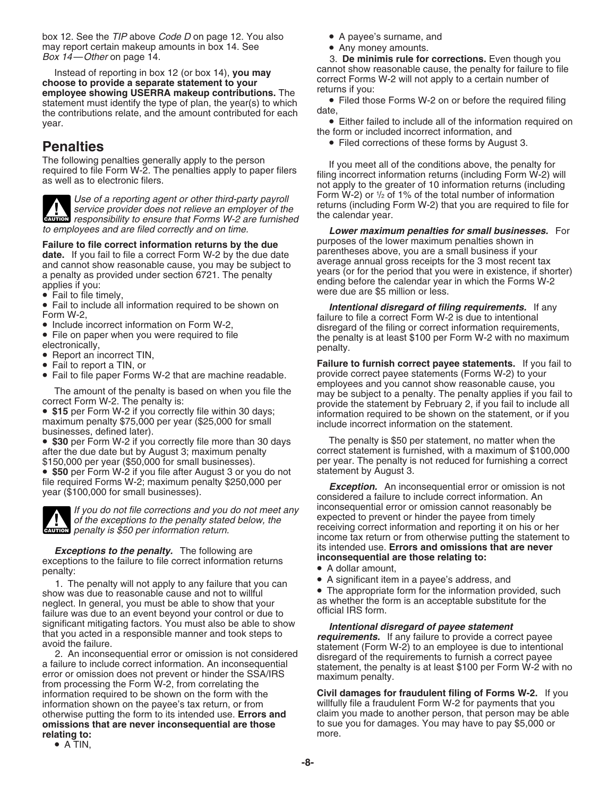box 12. See the *TIP* above *Code D* on page 12. You also **•** A payee's surname, and may report certain makeup amounts in box 14. See **• Any money amounts.**<br>Box 14—Other on page 14. **Box 14—** 3. **De minimis rule for corrections.** Even though you

Instead of reporting in box 12 (or box 14), **you may**<br> **choose to provide a separate statement to your<br>
<b>employee showing USERRA makeup contributions.** The<br>
statement must identify the type of plan, the year(s) to which<br>
t the contributions relate, and the amount contributed for each each entimer failed to include all of the information required on year.

The following penalties generally apply to the person<br>required to file Form W-2. The penalties apply to paper filers<br>as well as to electronic filers.<br>Interval paper filers filing incorrect information returns (including Fo



Use of a reporting agent or other third-party payroll<br>service provider does not relieve an employer of the<br>responsibility to ensure that Forms W-2 are furnished<br>the calendar year.

- 
- 
- 
- 
- 
- 
- 

businesses, defined later).

• **\$50** per Form W-2 if you file after August 3 or you do not statement by August 3.



*where* penalty is \$50 per information return.

**Exceptions to the penalty.** The following are<br>exceptions to the failure to file correct information returns<br>penalty:<br>1. The penalty will not apply to any failure that you can<br>show was due to reasonable cause and not to wi

information required to be shown on the form with the **Civil damages for fraudulent filing of Forms W-2.** If you information shown on the payee's tax return, or from willfully file a fraudulent Form W-2 for payments that you<br>otherwise putting the form to its intended use. Errors and claim you made to another person, that person may b otherwise putting the form to its intended use. **Errors and omissions that are never inconsequential are those** to sue you for damages. You may have to pay \$5,000 or relating to: relating to:

- 
- 

the form or included incorrect information, and

• Filed corrections of these forms by August 3. **Penalties**

Form W-2) or  $\frac{1}{2}$  of 1% of the total number of information

to employees and are filed correctly and on time. *Lower maximum penalties for small businesses.* For Failure to file correct information returns by the due<br>
date. If you fail to file a correct Form W-2 by the due date<br>
and cannot show reasonable cause, you may be subject to<br>
a penalty as provided under section 6721. The

• Fail to include all information required to be shown on<br>
Form W-2,<br>
• Include incorrect information on Form W-2,<br>
• File on paper when you were required to file<br>
• File on paper when you were required to file<br>
• Report

• Fail to report a TIN, or **Failure to furnish correct payee statements.** If you fail to **Failure to furnish correct payee statements.** If you fail to **Fail to the Failure to furnish correct payee statements** (Forms W-2) t • Fail to file paper Forms W-2 that are machine readable. provide correct payee statements (Forms W-2) to your The amount of the penalty is based on when you file the<br>
correct Form W-2. The penalty is:<br>
• \$15 per Form W-2 if you correctly file within 30 days;<br>
• \$15 per Form W-2 if you correctly file within 30 days;<br>
information re

• \$30 per Form W-2 if you correctly file more than 30 days The penalty is \$50 per statement, no matter when the<br>after the due date but by August 3: maximum penalty correct statement is furnished, with a maximum of \$100,000 after the due date but by August 3; maximum penalty correct statement is furnished, with a maximum of \$100,000<br>\$150,000 per year (\$50,000 for small businesses). \$150,000 per year (\$50,000 for small businesses). per year. The penalty is not reduced for furnishing a correct

file required Forms W-2; maximum penalty \$250,000 per<br>year (\$100,000 for small businesses).<br>*Exception.* An inconsequential error or omission cannot reasonably be<br>*From the considered a failure to include correct informati* If you do not file corrections and you do not meet any<br>of the exceptions to the penalty stated below, the<br>receiving correct information and reporting it on his or her income tax return or from otherwise putting the statement to its intended use. Errors and omissions that are never

- 
- 

significant mitigating factors. You must also be able to show<br>that you acted in a responsible manner and took steps to<br>avoid the failure.<br>2. An inconsequential error or omission is not considered<br>a failure to provide a cor

<sup>•</sup> A TIN,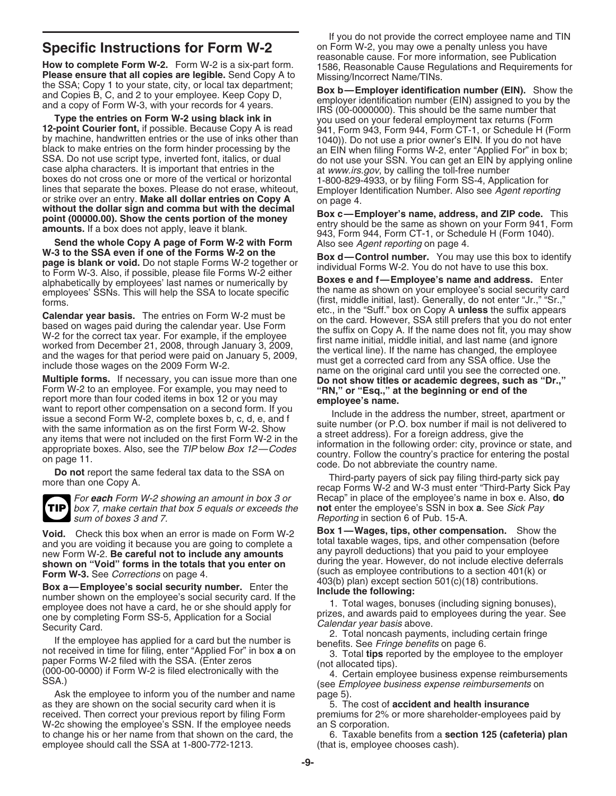

sum of boxes 3 and 7. The result of the Reporting in section 6 of Pub. 15-A.

Ask the employee to inform you of the number and name page 5). as they are shown on the social security card when it is 5. The cost of **accident and health insurance** received. Then correct your previous report by filing Form premiums for 2% or more shareholder-employees paid by W-2c showing the employee's SSN. If the employee needs an S corporation.<br>to change his or her name from that shown on the card, the  $\overline{6}$ . Taxable benefits from a **section 125 (cafeteria) plan** to change his or her name from that shown on the card, the employee should call the SSA at 1-800-772-1213. (that is, employee chooses cash).

If you do not provide the correct employee name and TIN **Specific Instructions for Form W-2** on Form W-2, you may owe a penalty unless you have<br>reasonable cause. For more information, see Publication

From the attact and the prins are eighte. Sens part of the state in the space and copies are legislations and Requirements for the SA; Copy 1 to your state, city, or local tax department; Sox b—Employer identification numb

**Calendar year basis.** The entries on Form W-2 must be<br>
based on wages paid during the calendar year. Use Four<br>
based on wages paid at during the calendar year. Use Form<br>
W-2 for the correct tax year. For example, if the

For *each* Form W-2 showing an amount in box 3 or Recap" in place of the employee's name in box e. Also, **do** box 7, make certain that box 5 equals or exceeds the **not** enter the employee's SSN in box **a**. See Sick Pay

Void. Check this box when an error is made on Form W-2<br>
and you are voiding it because you are only to complete a<br>
new Form W-2. Be careful not to include any amounts<br>
any payroll deductions) that you paid to your employe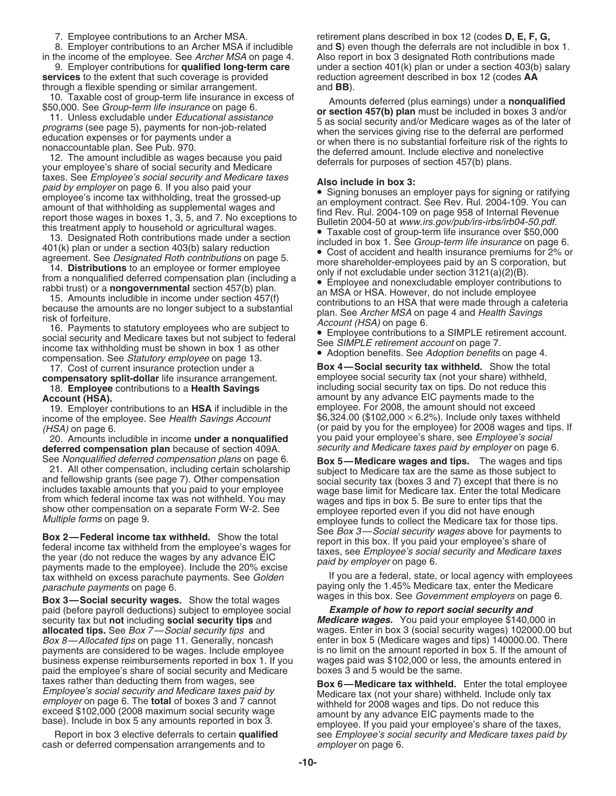9. Employer contributions for **qualified long-term care** services to the extent that such coverage is provided through a flexible spending or similar arrangement. and **BB**).

17. Cost of current insurance protection under a **Box 4—Social security tax withheld.** Show the total security tax withheld.

income of the employee. See Health Savings Account

20. Amounts includible in income under a nonqualified **deferred compensation plan** because of section 409A. *security and Medicare taxes paid by employer* on page 6.

**Box 2—Federal income tax withheld.** Show the total<br>federal income tax withheld from the employee's wages for<br>the year (do not reduce the wages by any advance EIC<br>payments made to the employee). Include the 20% excise<br>pay parachute payments on page 6. paying only the 1.45% Medicare tax, enter the Medicare

wages in this box. See Government employers on page 6. **Box 3—Social security wages.** Show the total wages paid (before payroll deductions) subject to employee social **Example of how to report social security and**<br>
security tax but **not** including **social security tips** and **Medicare wages.** You paid your employee \$140,000 in security tax but **not** including **social security tips** and **allocated tips.** See *Box* 7—*Social security tips* and Box 8—Allocated tips on page 11. Generally, noncash enter in box 5 (Medicare wages and tips) 140000.00. There payments are considered to be wages. Include employee is no limit on the amount reported in box 5. If the amount payments are considered to be wages. Include employee is no limit on the amount reported in box 5. If the amount o<br>business expense reimbursements reported in box 1. If you wages paid was \$102,000 or less, the amounts ente business expense reimbursements reported in box 1. If you paid the employee's share of social security and Medicare boxes 3 and 5 would be the same.

cash or deferred compensation arrangements and to employer on page 6.

7. Employee contributions to an Archer MSA. retirement plans described in box 12 (codes **D, E, F, G,**  8. Employer contributions to an Archer MSA if includible and **S**) even though the deferrals are not includible in box 1. in the income of the employee. See Archer MSA on page 4. Also report in box 3 designated Roth contributions made<br>9. Employer contributions for **qualified long-term care** under a section 401(k) plan or under a section 403(b reduction agreement described in box 12 (codes AA

10. Taxable cost of group-term life insurance in excess of<br>
\$50,000. See *Group-term life insurance* on page 6.<br>
11. Unless excludable under *Educational assistance*<br>
programs (see page 5), payments for non-job-related<br>
ed

and by employee's social security and Medicare taxes<br>
and by employer on page 6. If you also paid your<br>
and moderate and the summent contract. See Rev. Rul. 2004-109. You can<br>
an employer can employe is income tax withhol

**compensatory split-dollar** life insurance arrangement. employee social security tax (not your share) withheld, 18. **Employee** contributions to a **Health Savings** including social security tax on tips. Do not reduce this **Account (HSA).**<br>19. Employer contributions to an HSA if includible in the employee. For 2008, the amount should not exceed 19. Employer contributions to an **HSA** if includible in the employee. For 2008, the amount should not exceed (HSA) on page 6.  $\overline{6}$  is the employee) for 2008 wages and tips. If (or paid by you for the employee) for 2008 wages and tips. If (or paid you paid your employee's share, see *Employee's social* 

See *Nonqualified deferred compensation plans* on page 6.<br>
21. All other compensation, including certain scholarship<br>
and fellowship grants (see page 7). Other compensation<br>
includes taxable amounts that you paid to your e

tax withheld on excess parachute payments. See Golden If you are a federal, state, or local agency with employees

wages. Enter in box 3 (social security wages) 102000.00 but

taxes rather than deducting them from wages, see<br>
Employee's social security and Medicare taxes paid by<br>
employer on page 6. The **total** of boxes 3 and 7 cannot<br>
exceed \$102,000 (2008 maximum social security wage<br>
base). I Report in box 3 elective deferrals to certain **qualified** see Employee's social security and Medicare taxes paid by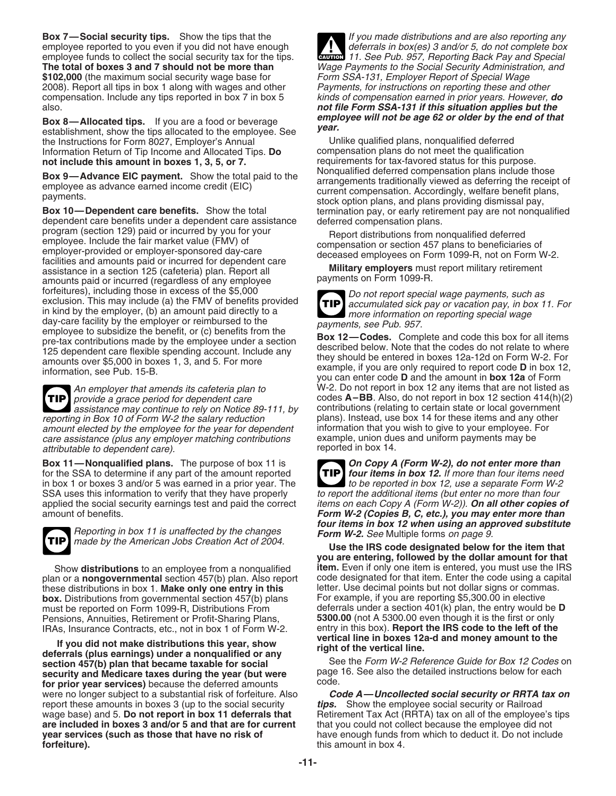**Box 7—Social security tips.** Show the tips that the If you made distributions and are also reporting any employee reported to you even if you did not have enough deferrals in box(es) 3 and/or 5, do not complete box<br>employee funds to collect the social security tax for the tips.<br>extends 11. See Pub. 957, Reporting Back Pay and employee funds to collect the social security tax for the tips. **The total of boxes 3 and 7 should not be more than** \$102,000 (the maximum social security wage base for Form SSA-131, Employer Report of Special Wage<br>2008). Report all tips in box 1 along with wages and other Payments, for instructions on reporting these and other 2008). Report all tips in box 1 along with wages and other compensation. Include any tips reported in box 7 in box 5 kinds of compensation earned in prior years. However, *do*

**employee will not be age 62 or older by the** end of that **Box 8—Allocated tips.** If you are a food or beverage *year.*<br> **Box 8—Allocated tips allocated to the employee. See** *year.*<br>
Unlike qualified plans, nongualified the Instructions for Form 8027, Employer's Annual Unlike qualified plans, nonqualified deferred<br>Information Return of Tip Income and Allocated Tips. Do compensation plans do not meet the qualification Information Return of Tip Income and Allocated Tips. Do

dependent care benefits under a dependent care assistance deferred compensation plans.<br>program (section 129) paid or incurred by you for your<br>Report distributions from no program (section 129) paid or incurred by you for your<br>
employee. Include the fair market value (FMV) of<br>
employer-provided or employer-sponsored day-care<br>
facilities and amounts paid or incurred for dependent care<br>
assist forfeitures), including those in excess of the \$5,000<br>exclusion. This may include (a) the FMV of benefits provided<br>in kind by the employer, (b) an amount paid directly to a<br>day-care facility by the employer or reimbursed t day-care facility by the employer or reimbursed to the<br>
employee to subsidize the benefit, or (c) benefits from the<br>
pre-tax contributions made by the employee under a section<br>
125 dependent care flexible spending account.

**TIP** provide a grace period for dependent care reporting in Box 10 of Form W-2 the salary reduction plans). Instead, use box 14 for these items and any other<br>amount elected by the employee for the year for dependent information that you wish to give to your employee. F amount elected by the employee for the year for dependent information that you wish to give to your employee. F<br>care assistance (plus any employer matching contributions example, union dues and uniform payments may be care assistance (plus any employer matching contributions example, union due<br>attributable to dependent care). and in payments may be reported in box 14. attributable to dependent care).

**Box 11—Nonqualified plans.** The purpose of box 11 is **Copy A (Form W-2), do not enter more than** for the SSA to determine if any part of the amount reported **TIP** four items in box 12. If more than four items need for the SSA to determine if any part of the amount reported in box 1 or boxes 3 and/or 5 was earned in a prior year. The to be reported in box 12, use a separate Form W-2 SSA uses this information to verify that they have properly to report the additional items (but enter no more than four<br>applied the social security earnings test and paid the correct items on each Copy A (Form W-2)). **On a** applied the social security earnings test and paid the correct



Reporting in box 11 is unaffected by the changes<br>
Form W-2. See Multiple forms on page 9.<br>
Use the IRS code designated below for the item that<br>
Use the IRS code designated below for the item that

plan or a **nongovernmental** section 457(b) plan. Also report these distributions in box 1. **Make only one entry in this** letter. Use decimal points but not dollar signs or commas. **box.** Distributions from governmental section 457(b) plans must be reported on Form 1099-R, Distributions From deferrals under a section 401(k) plan, the entry would be **D**<br>Pensions, Annuities, Retirement or Profit-Sharing Plans. **5300.00** (not A 5300.00 even though it is the firs Pensions, Annuities, Retirement or Profit-Sharing Plans, **5300.00** (not A 5300.00 even though it is the first or only

If you did not make distributions this year, show<br>deferrals (plus earnings) under a nonqualified or any<br>section 457(b) plan that became taxable for social<br>security and Medicare taxes during the year (but were<br>for prior yea were no longer subject to a substantial risk of forfeiture. Also *Code A—Uncollected social security or RRTA tax on* report these amounts in boxes 3 (up to the social security *tips.* Show the employee social security or Railroad **are included in boxes 3 and/or 5 and that are for current** that you could not collect because the employee did not **year services (such as those that have no risk of** have enough funds from which to deduct it. Do not incl **forfeiture). this amount in box 4.** 

**!** Wage Payments to the Social Security Administration, and<br>Form SSA-131, Employer Report of Special Wage also. *not file Form SSA-131 if this situation applies but the*

**not include this amount in boxes 1, 3, 5, or 7.** requirements for tax-favored status for this purpose.<br>Nonqualified deferred compensation plans include those **Box 9—Advance EIC payment.** Show the total paid to the<br>employee as advance earned income credit (EIC)<br>payments.<br>**Box 10—Dependent care benefits.** Show the total<br>**Box 10—Dependent care benefits.** Show the total<br>**Box 10—Dep** termination pay, or early retirement pay are not nonqualified



An employer that amends its cafeteria plan to W-2. Do not report in box 12 any items that are not listed as codes **A–BB**. Also, do not report in box 12 section 414(h)(2) contributions (relating to certain state or local government assistance may continue to rely on Notice 89-111, by contributions (relating to certain state or local government<br>ing in Box 10 of Form W-2 the salary reduction plans). Instead, use box 14 for these items and any other

**TIP** amount of benefits.<br>*Form W-2 (Copies B, C, etc.), you may enter more than*<br>*four items in box 12 when using an approved substitute* 

**you are entering, followed by the dollar amount for that** Show **distributions** to an employee from a nonqualified **item.** Even if only one item is entered, you must use the IRS IRAs, Insurance Contracts, etc., not in box 1 of Form W-2. entry in this box). **Report the IRS code to the left of the**

Retirement Tax Act (RRTA) tax on all of the employee's tips have enough funds from which to deduct it. Do not include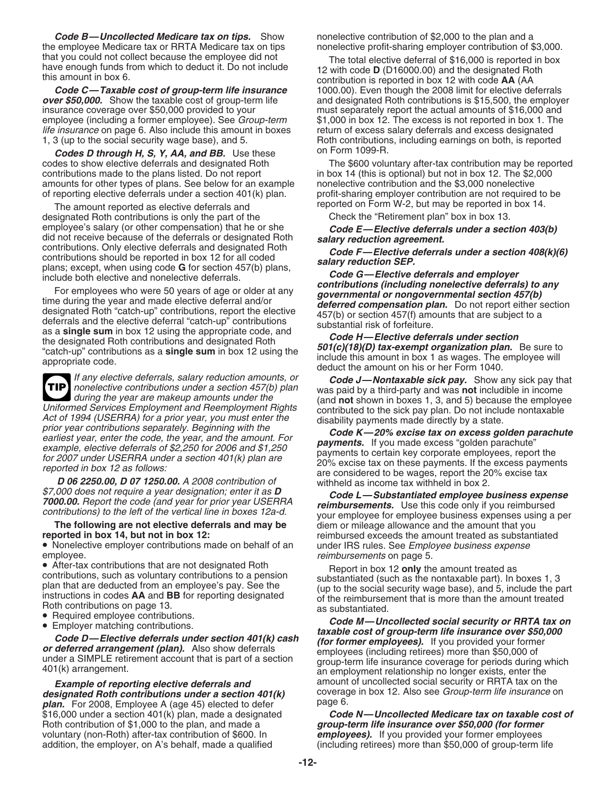*Code B—Uncollected Medicare tax on tips.* Show nonelective contribution of \$2,000 to the plan and a the employee Medicare tax or RRTA Medicare tax on tips nonelective profit-sharing employer contribution of \$3,000.

insurance coverage over \$50,000 provided to your must separately report the actual amounts of \$16,000 and<br>employee (including a former employee). See *Group-term* \$1,000 in box 12. The excess is not reported in box 1. The life insurance on page 6. Also include this amount in boxes return of excess salary deferrals and excess designated<br>1, 3 (up to the social security wage base), and 5.<br>Roth contributions, including earnings on both, is repo

**Codes D through H, S, Y, AA, and BB.** Use these on Form 1099-R. contributions made to the plans listed. Do not report in box 14 (this is optional) but not in box 12. The \$2,000 amounts for other types of plans. See below for an example nonelective contribution and the \$3,000 nonelectiv amounts for other types of plans. See below for an example of reporting elective deferrals under a section 401(k) plan.

The amount reported as elective deferrals and<br>signated Roth contributions is only the part of the Theorem Check the "Retirement plan" box in box 13. designated Roth contributions is only the part of the

as a **single sum** in box 12 using the appropriate code, and<br>the designated Roth contributions and designated Roth<br>"catch-up" contributions as a **single sum** in box 12 using the<br>appropriate code.<br>deduct the amount on his o

If any elective deferrals, salary reduction amounts, or **Code J—Nontaxable sick pay.** Show any sick pay that nonelective contributions under a section  $457(b)$  plan was paid by a third-party and was **not** includible in inc during the year are makeup amounts under the **TIP** Uniformed Services Employment and Reemployment Rights<br>
Act of 1994 (USER Employment and Reemployment Rights<br>
Act of 1994 (USER A for a prior year contributions separately. Beginning with the<br>
prior year contributions sepa

**• Nonelective employer contributions made on behalf of an under IRS rules. See** *Employee business expense**employee***.<br>** *reimbursements* **on page 5.** 

- 
- 

*designated Roth contributions under a section 401(k)* coverage in box 12. Also see Group-<br>**plan**, For 2008, Employee A (age 45) elected to defer straining in page 6. *plan.* For 2008, Employee A (age 45) elected to defer page 6.<br>\$16,000 under a section 401(k) plan, made a designated **Code N—Uncollected Medicare tax on taxable cost of** \$16,000 under a section 401(k) plan, made a designated **Code N—Uncollected Medicare tax on taxable c**<br>Roth contribution of \$1,000 to the plan, and made a **compulation of a group-term life insurance over \$50,000 (for former** Roth contribution of \$1,000 to the plan, and made a *voluntary (non-Roth)* after-tax contribution of \$600. In voluntary (non-Roth) after-tax contribution of \$600. In **employees).** If you provided your former employees addition, the employer, on A's behalf, made a qualified (including retirees) more than \$50,000 of group-term li

that you could not collect because the employee did not<br>have enough funds from which to deduct it. Do not include<br>this amount in box 6.<br>**Code C—Taxable cost of group-term life insurance** to 1000.00). Even though the 2008 l 1000.00). Even though the 2008 limit for elective deferrals **over \$50,000.** Show the taxable cost of group-term life and designated Roth contributions is \$15,500, the employer insurance coverage over \$50,000 provided to your must separately report the actual amounts of \$16,000 and \$1,000 in box 12. The excess is not reported in box 1. The Roth contributions, including earnings on both, is reported

codes to show elective deferrals and designated Roth The \$600 voluntary after-tax contribution may be reported profit-sharing employer contribution are not required to be

employee's salary (or other compensation) that he or she<br>
did not receive because of the deferrals or designated Roth<br>
contributions. Only elective deferrals and designated Roth<br>
contributions should be reported in box 12

\$7,000 does not require a year designation; enter it as **D**<br> **Code L—Substantiated employee business expense**<br> **Code L—Substantiated employee business expense**<br>
contributions) to the left of the vertical line in boxes 12a-**The following are not elective deferrals and may be** diem or mileage allowance and the amount that you<br>reimbursed exceeds the amount treated as substantiated<br>reimbursed exceeds the amount treated as substantiated

employee.<br>
• After-tax contributions that are not designated Roth<br>
• Christian contributions, such as voluntary contributions to a pension<br>
plan that are deducted from an employee's pay. See the<br>
instructions in codes **AA** *Example of reporting elective deferrals and* amount of uncollected social security or RRTA tax on the<br>**signated Roth contributions under a section 401(k)** coverage in box 12. Also see *Group-term life insurance* on

 $(including retirees)$  more than \$50,000 of group-term life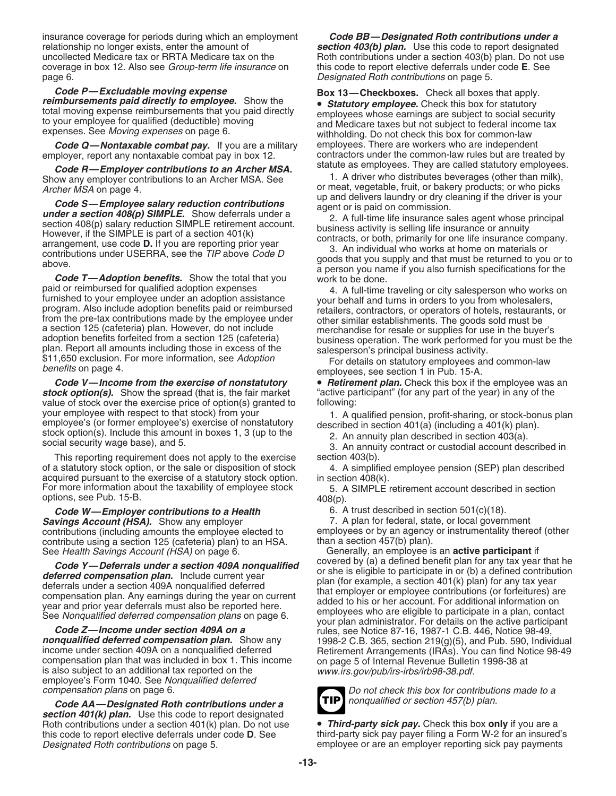insurance coverage for periods during which an employment *Code BB—Designated Roth contributions under a* relationship no longer exists, enter the amount of *section 403(b) plan.* Use this code to report designated uncollected Medicare tax or RRTA Medicare tax on the Roth contributions under a section 403(b) plan. Do not use<br>coverage in box 12. Also see *Group-term life insurance* on this code to report elective deferrals under code coverage in box 12. Also see *Group-term life insurance* on this code to report elective deferrals under code **E**. See page 6.<br>Designated Roth contributions on page 5.

**Code Q—Nontaxable combat pay.** If you are a military employees. There are workers who are independent employer, report any nontaxable combat pay in box 12. contractors under the common-law rules but are treated by

Show any employer contributions to an Archer MSA. See 1. A driver who distributes beverages (other than milk),

**Code S—Employee salary reduction contributions**<br> **under a section 408(p) SIMPLE.** Show deferrals under a<br>
section 408(p) salary reduction SIMPLE retirement account.<br>
However, if the SIMPLE is part of a section 401(k)<br>
Ho

program. Also include adoption expenses and common spenses furnished to your employee under an adoption assistance<br>program. Also include adoption benefits paid or reimbursed<br>program. Also include adoption benefits paid or

*stock option(s).* Show the spread (that is, the fair market value of stock over the exercise price of option(s) granted to following: your employee with respect to that stock) from your form that the specific service of nonstatutory<br>employee's (or former employee's) exercise of nonstatutory<br>stock option(s). Include this amount in boxes 1, 3 (up to the so

This reporting requirement does not apply to the exercise section 403(b). of a statutory stock option, or the sale or disposition of stock 4. A simplified employee pension (SEP) plan described acquired pursuant to the exercise of a statutory stock option. in section 408(k).<br>For more information about the taxability of employee stock 5. A SIMPLE options, see Pub. 15-B.  $408(p)$ .

**Code W—Employer contributions to a Health** 6. A trust described in section 501(c)(18).<br> **Code W—Employer contributions to a Health** 6. A plan for federal, state, or local government **Savings Account (HSA).** Show any employer contribute using a section 125 (cafeteria) plan) to an HSA. than a section 457(b) plan).<br>See Health Savings Account (HSA) on page 6. (Generally, an employee is an **active participant** if

**nonqualified deferred compensation plan.** Show any the set of the set of 219(g)(5), and Pub. 590, Individual income under section 409A on a nonqualified deferred electron the compensation plan that was included in box 1.

**Code AA—Designated Roth contributions under a** *section 401(k) plan.* Use this code to report designated Roth contributions under a section 401(k) plan. Do not use **•** *Third-party sick pay***.** Check this box **only** if you are a this code to report elective deferrals under code **D**. See third-party sick pay payer filing a Form

Designated Roth contributions on page 5.

Code P—Excludable moving expense<br>
reimbursements paid directly to employee. Show the<br>
total moving expense reimbursements that you paid directly<br>
to your employee for qualified (deductible) moving<br>
expenses. See Moving exp statute as employees. They are called statutory employees. *Code R—Employer contributions to an Archer MSA.*

Archer MSA on page 4.<br>up and delivers laundry or dry cleaning if the driver is your

*Code V—Income from the exercise of nonstatutory* • *Retirement plan.* Check this box if the employee was an *ck option(s).* Show the spread (that is, the fair market "active participant" (for any part of the year) in any

5. A SIMPLE retirement account described in section

contributions (including amounts the employee elected to employees or by an agency or instrumentality thereof (other contribute using a section 125 (cafeteria) plan) to an HSA. than a section 457(b) plan).

See Health Savings Account (HSA) on page 6. Generally, an employee is an **active participant** if<br>Code Y. Deferrels under a section 4004 nongualities covered by (a) a defined benefit plan for any tax year that he Code Y—Deferrals under a section 409A nonqualified<br>
deferred compensation plan. Include current year<br>
deferred compensation plan. Include current year<br>
deferrals under a section 409A nonqualified deferred<br>
compensation pla



compensation plans on page 6.<br>Code AA—Designated Roth contributions under a **TIP** nonqualified or section 457(b) plan.

third-party sick pay payer filing a Form W-2 for an insured's Designated Roth contributions on page 5. employee or are an employer reporting sick pay payments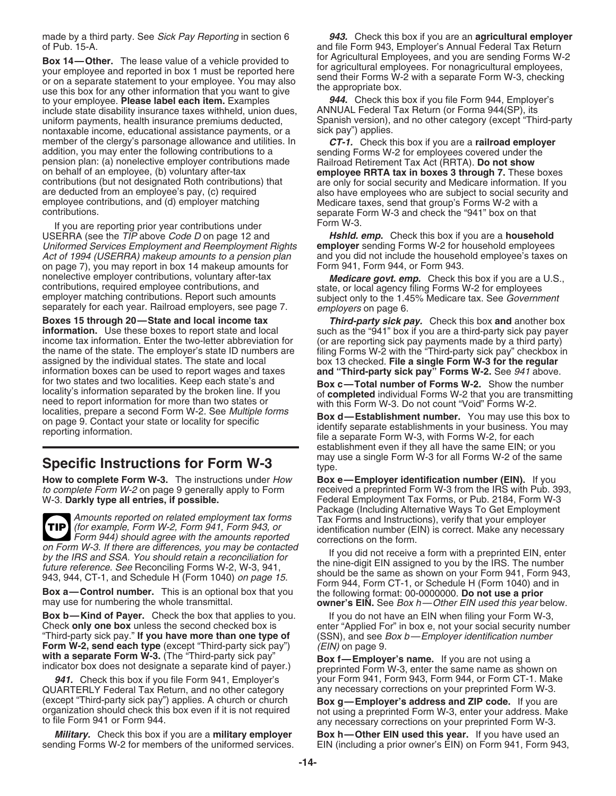of Pub. 15-A. and file Form 943, Employer's Annual Federal Tax Return

**Box 14—Other.** The lease value of a vehicle provided to<br>your employees and reported in box 1 must be reported here<br>or on a separate statement to your employee. You may also<br>use this box for any other information that you to your employee. **Please label each item.** Examples *944.* Check this box if you file Form 944, Employer include state disability insurance taxes withheld, union dues. ANNUAL Federal Tax Return (or Forma 944(SP), its include state disability insurance taxes withheld, union dues, nontaxable income, educational assistance payments, or a member of the clergy's parsonage allowance and utilities. In **CT-1.** Check this box if you are a **railroad employer**<br>addition, you may enter the following contributions to a<br>pension plan: (a) nonelective employer contribut on behalf of an employee, (b) voluntary after-tax **employee RRTA tax in boxes 3 through 7.** These boxes

If you are reporting prior year contributions under Form W-3.<br>ERRA (see the *TIP* above *Code D* on page 12 and **Hshld. emp.** Check this box if you are a **household** USERRA (see the TIP above Code D on page 12 and Uniformed Services Employment and Reemployment Rights **employer** sending Forms W-2 for household employees Act of 1994 (USERRA) makeup amounts to a pension plan and you did not include the household employee's taxes on<br>on page 7), you may report in box 14 makeup amounts for Form 941, Form 944, or Form 943. on page 7), you may report in box 14 makeup amounts for nonelective employer contributions, voluntary after-tax<br>contributions, required employee contributions, and<br>employer matching contributions. Report such amounts<br>employer matching contributions. Report such amounts<br>subject separately for each year. Railroad employers, see page 7. employers on page 6.

**Boxes 15 through 20—State and local income tax** *Third-party sick pay.* **Check this box and another box information. Use these boxes to report state and local such as the "941" box if you are a third-party sick pay payer** income tax information. Enter the two-letter abbreviation for (or are reporting sick pay payments made by a third party) the name of the state. The employer's state ID numbers are filing Forms W-2 with the "Third-party sic information boxes can be used to report wages and taxes **and "Third-party sick pay" Forms W-2.** See 941 above. For two states and two localities. Keep each state's and<br>
locality's information separated by the broken line. If you<br>
need to report information for more than two states or<br>
localities, prepare a second Form W-2. See *Mul* 

## **Specific Instructions for Form W-3** type.

**How to complete Form W-3.** The instructions under How **Box e—Employer identification number (EIN).** If you *to complete Form W-2* on page 9 generally apply to Form **changing** received a preprinted Form W-3 from the IRS wi

Amounts reported on related employment tax forms Tax Forms and Instructions), verify that your employer<br>
(for example, Form W-2, Form 941, Form 943, or Form 944) should agree with the amounts reported<br>
on Form W-3. If ther **TIP**

**Box b—Kind of Payer.** Check the box that applies to you. If you do not have an EIN when filing your Form W-3, Check only one box unless the second checked box is enter "Applied For" in box e, not your social security num "Third-party sick pay." **If you have more than one type of** (SSN), and see Box b—Employer identification number **Form W-2, send each type** (except "Third-party sick pay") (*EIN*) on page 9.<br>with a separate Form W-3. (The "Third-party sick pay" Box f—Fmplow

QUARTERLY Federal Tax Return, and no other category

made by a third party. See Sick Pay Reporting in section 6 *943.* Check this box if you are an **agricultural employer**

uniform payments, health insurance premiums deducted, Spanish version), and no other category (except "Third-party<br>nontaxable income, educational assistance payments, or a sick pay") applies.

contributions (but not designated Roth contributions) that are only for social security and Medicare information. If you<br>are deducted from an employee's pay, (c) required also have employees who are subject to social secur

such as the "941" box if you are a third-party sick pay payer the name of the state. The employer's state ID numbers are filing Forms W-2 with the "Third-party sick pay" checkbox in<br>assigned by the individual states. The state and local box 13 checked. File a single Form W-3 for the box 13 checked. File a single Form W-3 for the regular

establishment even if they all have the same EIN; or you may use a single Form W-3 for all Forms W-2 of the same

received a preprinted Form W-3 from the IRS with Pub. 393, W-3. **Darkly type all entries, if possible.** Federal Employment Tax Forms, or Pub. 2184, Form W-3<br>Package (Including Alternative Ways To Get Employment corrections on the form.

on Form W-3. If there are differences, you may be contacted<br>by the IRS and SSA. You should retain a reconciliation for<br>future reference. See Reconciling Forms W-2, W-3, 941,<br>943, 944, CT-1, and Schedule H (Form 1040) on pa

enter "Applied For" in box e, not your social security number

with a separate Form w-3. (The "Third-party sick pay" Box f—Employer's name. If you are not using a<br>indicator box does not designate a separate kind of payer.) preprinted Form W-3, enter the same name as shown on 941. Check this box if you file Form 941, Employer's your Form 941, Form 943, Form 944, or Form CT-1. Make Vann<br>JARTERLY Federal Tax Return, and no other category any necessary corrections on your preprinted Form W-3.

(except "Third-party sick pay") applies. A church or church **Box g—Employer's address and ZIP code.** If you are organization should check this box even if it is not required not using a preprinted Form W-3, enter your addr

*Military.* Check this box if you are a military employer Box h—Other EIN used this year. If you have used an sending Forms W-2 for members of the uniformed services. EIN (including a prior owner's EIN) on Form 941, Form 943,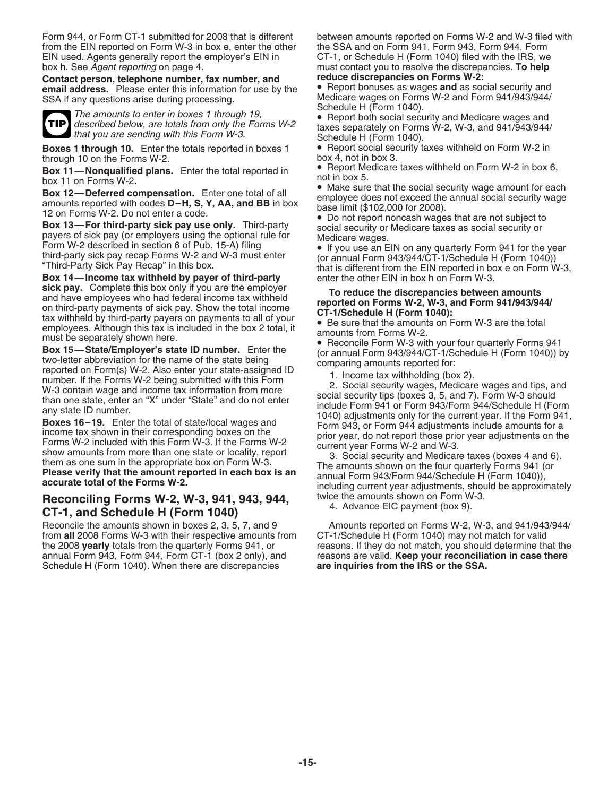Form 944, or Form CT-1 submitted for 2008 that is different between amounts reported on Forms W-2 and W-3 filed with from the EIN reported on Form W-3 in box e, enter the other the SSA and on Form 941, Form 943, Form 944, Form<br>EIN used. Agents generally report the employer's EIN in CT-1, or Schedule H (Form 1040) filed with the IRS, we EIN used. Agents generally report the employer's EIN in box h. See Agent reporting on page 4.

**Contact person, telephone number, fax number, and reduce discrepancies on Forms W-2: email address.** Please enter this information for use by the SSA if any questions arise during processing.



The amounts to enter in boxes 1 through 19,<br>
described below, are totals from only the Forms W-2<br>
that you are sending with this Form W-3.<br>
that you are sending with this Form W-3.<br>
Schedule H (Form 1040)

**Boxes 1 through 10.** Enter the totals reported in boxes 1 • Report social section up through 10 on the Forms W-2.

through 10 on the Forms W-2.<br> **Box 11—Nonqualified plans.** Enter the total reported in<br>
box 4, not in box 3.<br> **Box 12—Deferred compensation.** Enter one total of all<br> **amounts reported with codes D-H, S, Y, AA, and BB** in

**Box 14—Income tax withheld by payer of third-party** enter the other EIN in box h on Form W-3.<br> **sick pay.** Complete this box only if you are the employer

sick pay. Complete this box only if you are the employees who had federal income tax withheld<br>and have employees who had federal income tax withheld<br>on third-party payments of sick pay. Show the total income<br>on Find-Party

### **Reconciling Forms W-2, W-3, 941, 943, 944,** twice the amounts shown on Form W-3. 4. Advance EIC payment (box 9). **CT-1, and Schedule H (Form 1040)**

Reconcile the amounts shown in boxes 2, 3, 5, 7, and 9 **Amounts reported on Forms W-2, W-3**, and 941/943/944/ from **all** 2008 Forms W-2 with their respective amounts from CT-1/Schedule H (Form 1040) may not match for valid from all 2008 Forms W-3 with their respective amounts from the 2008 **yearly** totals from the quarterly Forms 941, or reasons. If they do not match, you should determine that the annual Form 943, Form 944, Form CT-1 (box 2 only), and reasons are valid. **Keep your reconciliation in case there** Schedule H (Form 1040). When there are discrepancies

must contact you to resolve the discrepancies. To help reduce discrepancies on Forms W-2:

Medicare wages on Forms W-2 and Form 941/943/944/<br>Schedule H (Form 1040).

Schedule H (Form 1040).<br>• Report social security taxes withheld on Form W-2 in